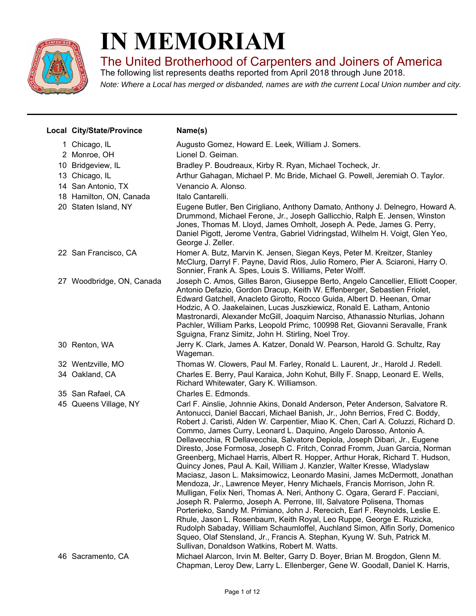

## **IN MEMORIAM**

The United Brotherhood of Carpenters and Joiners of America

The following list represents deaths reported from April 2018 through June 2018.

*Note: Where a Local has merged or disbanded, names are with the current Local Union number and city.*

| Local City/State/Province | Name(s)                                                                                                                                                                                                                                                                                                                                                                                                                                                                                                                                                                                                                                                                                                                                                                                                                                                                                                                                                                                                                                                                                                                                                                                                                                                                                                                                  |
|---------------------------|------------------------------------------------------------------------------------------------------------------------------------------------------------------------------------------------------------------------------------------------------------------------------------------------------------------------------------------------------------------------------------------------------------------------------------------------------------------------------------------------------------------------------------------------------------------------------------------------------------------------------------------------------------------------------------------------------------------------------------------------------------------------------------------------------------------------------------------------------------------------------------------------------------------------------------------------------------------------------------------------------------------------------------------------------------------------------------------------------------------------------------------------------------------------------------------------------------------------------------------------------------------------------------------------------------------------------------------|
| 1 Chicago, IL             | Augusto Gomez, Howard E. Leek, William J. Somers.                                                                                                                                                                                                                                                                                                                                                                                                                                                                                                                                                                                                                                                                                                                                                                                                                                                                                                                                                                                                                                                                                                                                                                                                                                                                                        |
| 2 Monroe, OH              | Lionel D. Geiman.                                                                                                                                                                                                                                                                                                                                                                                                                                                                                                                                                                                                                                                                                                                                                                                                                                                                                                                                                                                                                                                                                                                                                                                                                                                                                                                        |
| 10 Bridgeview, IL         | Bradley P. Boudreaux, Kirby R. Ryan, Michael Tocheck, Jr.                                                                                                                                                                                                                                                                                                                                                                                                                                                                                                                                                                                                                                                                                                                                                                                                                                                                                                                                                                                                                                                                                                                                                                                                                                                                                |
| 13 Chicago, IL            | Arthur Gahagan, Michael P. Mc Bride, Michael G. Powell, Jeremiah O. Taylor.                                                                                                                                                                                                                                                                                                                                                                                                                                                                                                                                                                                                                                                                                                                                                                                                                                                                                                                                                                                                                                                                                                                                                                                                                                                              |
| 14 San Antonio, TX        | Venancio A. Alonso.                                                                                                                                                                                                                                                                                                                                                                                                                                                                                                                                                                                                                                                                                                                                                                                                                                                                                                                                                                                                                                                                                                                                                                                                                                                                                                                      |
| 18 Hamilton, ON, Canada   | Italo Cantarelli.                                                                                                                                                                                                                                                                                                                                                                                                                                                                                                                                                                                                                                                                                                                                                                                                                                                                                                                                                                                                                                                                                                                                                                                                                                                                                                                        |
| 20 Staten Island, NY      | Eugene Butler, Ben Cirigliano, Anthony Damato, Anthony J. Delnegro, Howard A.<br>Drummond, Michael Ferone, Jr., Joseph Gallicchio, Ralph E. Jensen, Winston<br>Jones, Thomas M. Lloyd, James Omholt, Joseph A. Pede, James G. Perry,<br>Daniel Pigott, Jerome Ventra, Gabriel Vidringstad, Wilhelm H. Voigt, Glen Yeo,<br>George J. Zeller.                                                                                                                                                                                                                                                                                                                                                                                                                                                                                                                                                                                                                                                                                                                                                                                                                                                                                                                                                                                              |
| 22 San Francisco, CA      | Homer A. Butz, Marvin K. Jensen, Siegan Keys, Peter M. Kreitzer, Stanley<br>McClurg, Darryl F. Payne, David Rios, Julio Romero, Pier A. Sciaroni, Harry O.<br>Sonnier, Frank A. Spes, Louis S. Williams, Peter Wolff.                                                                                                                                                                                                                                                                                                                                                                                                                                                                                                                                                                                                                                                                                                                                                                                                                                                                                                                                                                                                                                                                                                                    |
| 27 Woodbridge, ON, Canada | Joseph C. Amos, Gilles Baron, Giuseppe Berto, Angelo Cancellier, Elliott Cooper,<br>Antonio Defazio, Gordon Dracup, Keith W. Effenberger, Sebastien Friolet,<br>Edward Gatchell, Anacleto Girotto, Rocco Guida, Albert D. Heenan, Omar<br>Hodzic, A O. Jaakelainen, Lucas Juszkiewicz, Ronald E. Latham, Antonio<br>Mastronardi, Alexander McGill, Joaquim Narciso, Athanassio Nturlias, Johann<br>Pachler, William Parks, Leopold Primc, 100998 Ret, Giovanni Seravalle, Frank<br>Sguigna, Franz Simitz, John H. Stirling, Noel Troy.                                                                                                                                                                                                                                                                                                                                                                                                                                                                                                                                                                                                                                                                                                                                                                                                   |
| 30 Renton, WA             | Jerry K. Clark, James A. Katzer, Donald W. Pearson, Harold G. Schultz, Ray<br>Wageman.                                                                                                                                                                                                                                                                                                                                                                                                                                                                                                                                                                                                                                                                                                                                                                                                                                                                                                                                                                                                                                                                                                                                                                                                                                                   |
| 32 Wentzville, MO         | Thomas W. Clowers, Paul M. Farley, Ronald L. Laurent, Jr., Harold J. Redell.                                                                                                                                                                                                                                                                                                                                                                                                                                                                                                                                                                                                                                                                                                                                                                                                                                                                                                                                                                                                                                                                                                                                                                                                                                                             |
| 34 Oakland, CA            | Charles E. Berry, Paul Karaica, John Kohut, Billy F. Snapp, Leonard E. Wells,<br>Richard Whitewater, Gary K. Williamson.                                                                                                                                                                                                                                                                                                                                                                                                                                                                                                                                                                                                                                                                                                                                                                                                                                                                                                                                                                                                                                                                                                                                                                                                                 |
| 35 San Rafael, CA         | Charles E. Edmonds.                                                                                                                                                                                                                                                                                                                                                                                                                                                                                                                                                                                                                                                                                                                                                                                                                                                                                                                                                                                                                                                                                                                                                                                                                                                                                                                      |
| 45 Queens Village, NY     | Carl F. Ainslie, Johnnie Akins, Donald Anderson, Peter Anderson, Salvatore R.<br>Antonucci, Daniel Baccari, Michael Banish, Jr., John Berrios, Fred C. Boddy,<br>Robert J. Caristi, Alden W. Carpentier, Miao K. Chen, Carl A. Coluzzi, Richard D.<br>Commo, James Curry, Leonard L. Daquino, Angelo Darosso, Antonio A.<br>Dellavecchia, R Dellavecchia, Salvatore Depiola, Joseph Dibari, Jr., Eugene<br>Diresto, Jose Formosa, Joseph C. Fritch, Conrad Fromm, Juan Garcia, Norman<br>Greenberg, Michael Harris, Albert R. Hopper, Arthur Horak, Richard T. Hudson,<br>Quincy Jones, Paul A. Kail, William J. Kanzler, Walter Kresse, Wladyslaw<br>Maciasz, Jason L. Maksimowicz, Leonardo Masini, James McDermott, Jonathan<br>Mendoza, Jr., Lawrence Meyer, Henry Michaels, Francis Morrison, John R.<br>Mulligan, Felix Neri, Thomas A. Neri, Anthony C. Ogara, Gerard F. Pacciani,<br>Joseph R. Palermo, Joseph A. Perrone, III, Salvatore Polisena, Thomas<br>Porterieko, Sandy M. Primiano, John J. Rerecich, Earl F. Reynolds, Leslie E.<br>Rhule, Jason L. Rosenbaum, Keith Royal, Leo Ruppe, George E. Ruzicka,<br>Rudolph Sabaday, William Schaumloffel, Auchland Simon, Alfin Sorly, Domenico<br>Squeo, Olaf Stensland, Jr., Francis A. Stephan, Kyung W. Suh, Patrick M.<br>Sullivan, Donaldson Watkins, Robert M. Watts. |
| 46 Sacramento, CA         | Michael Alarcon, Irvin M. Belter, Garry D. Boyer, Brian M. Brogdon, Glenn M.<br>Chapman, Leroy Dew, Larry L. Ellenberger, Gene W. Goodall, Daniel K. Harris,                                                                                                                                                                                                                                                                                                                                                                                                                                                                                                                                                                                                                                                                                                                                                                                                                                                                                                                                                                                                                                                                                                                                                                             |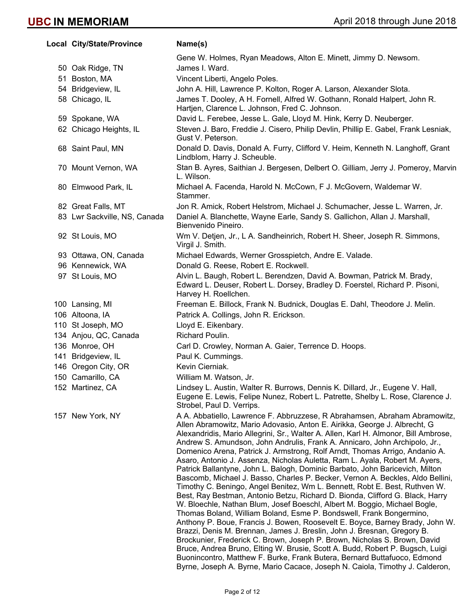| Local City/State/Province    | Name(s)                                                                                                                                                                                                                                                                                                                                                                                                                                                                                                                                                                                                                                                                                                                                                                                                                                                                                                                                                                                                                                                                                                                                                                                                                                                                                                                                                                                                                                                              |
|------------------------------|----------------------------------------------------------------------------------------------------------------------------------------------------------------------------------------------------------------------------------------------------------------------------------------------------------------------------------------------------------------------------------------------------------------------------------------------------------------------------------------------------------------------------------------------------------------------------------------------------------------------------------------------------------------------------------------------------------------------------------------------------------------------------------------------------------------------------------------------------------------------------------------------------------------------------------------------------------------------------------------------------------------------------------------------------------------------------------------------------------------------------------------------------------------------------------------------------------------------------------------------------------------------------------------------------------------------------------------------------------------------------------------------------------------------------------------------------------------------|
|                              | Gene W. Holmes, Ryan Meadows, Alton E. Minett, Jimmy D. Newsom.                                                                                                                                                                                                                                                                                                                                                                                                                                                                                                                                                                                                                                                                                                                                                                                                                                                                                                                                                                                                                                                                                                                                                                                                                                                                                                                                                                                                      |
| 50 Oak Ridge, TN             | James I. Ward.                                                                                                                                                                                                                                                                                                                                                                                                                                                                                                                                                                                                                                                                                                                                                                                                                                                                                                                                                                                                                                                                                                                                                                                                                                                                                                                                                                                                                                                       |
| 51 Boston, MA                | Vincent Liberti, Angelo Poles.                                                                                                                                                                                                                                                                                                                                                                                                                                                                                                                                                                                                                                                                                                                                                                                                                                                                                                                                                                                                                                                                                                                                                                                                                                                                                                                                                                                                                                       |
| 54 Bridgeview, IL            | John A. Hill, Lawrence P. Kolton, Roger A. Larson, Alexander Slota.                                                                                                                                                                                                                                                                                                                                                                                                                                                                                                                                                                                                                                                                                                                                                                                                                                                                                                                                                                                                                                                                                                                                                                                                                                                                                                                                                                                                  |
| 58 Chicago, IL               | James T. Dooley, A H. Fornell, Alfred W. Gothann, Ronald Halpert, John R.<br>Hartjen, Clarence L. Johnson, Fred C. Johnson.                                                                                                                                                                                                                                                                                                                                                                                                                                                                                                                                                                                                                                                                                                                                                                                                                                                                                                                                                                                                                                                                                                                                                                                                                                                                                                                                          |
| 59 Spokane, WA               | David L. Ferebee, Jesse L. Gale, Lloyd M. Hink, Kerry D. Neuberger.                                                                                                                                                                                                                                                                                                                                                                                                                                                                                                                                                                                                                                                                                                                                                                                                                                                                                                                                                                                                                                                                                                                                                                                                                                                                                                                                                                                                  |
| 62 Chicago Heights, IL       | Steven J. Baro, Freddie J. Cisero, Philip Devlin, Phillip E. Gabel, Frank Lesniak,<br>Gust V. Peterson.                                                                                                                                                                                                                                                                                                                                                                                                                                                                                                                                                                                                                                                                                                                                                                                                                                                                                                                                                                                                                                                                                                                                                                                                                                                                                                                                                              |
| 68 Saint Paul, MN            | Donald D. Davis, Donald A. Furry, Clifford V. Heim, Kenneth N. Langhoff, Grant<br>Lindblom, Harry J. Scheuble.                                                                                                                                                                                                                                                                                                                                                                                                                                                                                                                                                                                                                                                                                                                                                                                                                                                                                                                                                                                                                                                                                                                                                                                                                                                                                                                                                       |
| 70 Mount Vernon, WA          | Stan B. Ayres, Saithian J. Bergesen, Delbert O. Gilliam, Jerry J. Pomeroy, Marvin<br>L. Wilson.                                                                                                                                                                                                                                                                                                                                                                                                                                                                                                                                                                                                                                                                                                                                                                                                                                                                                                                                                                                                                                                                                                                                                                                                                                                                                                                                                                      |
| 80 Elmwood Park, IL          | Michael A. Facenda, Harold N. McCown, F J. McGovern, Waldemar W.<br>Stammer.                                                                                                                                                                                                                                                                                                                                                                                                                                                                                                                                                                                                                                                                                                                                                                                                                                                                                                                                                                                                                                                                                                                                                                                                                                                                                                                                                                                         |
| 82 Great Falls, MT           | Jon R. Amick, Robert Helstrom, Michael J. Schumacher, Jesse L. Warren, Jr.                                                                                                                                                                                                                                                                                                                                                                                                                                                                                                                                                                                                                                                                                                                                                                                                                                                                                                                                                                                                                                                                                                                                                                                                                                                                                                                                                                                           |
| 83 Lwr Sackville, NS, Canada | Daniel A. Blanchette, Wayne Earle, Sandy S. Gallichon, Allan J. Marshall,<br>Bienvenido Pineiro.                                                                                                                                                                                                                                                                                                                                                                                                                                                                                                                                                                                                                                                                                                                                                                                                                                                                                                                                                                                                                                                                                                                                                                                                                                                                                                                                                                     |
| 92 St Louis, MO              | Wm V. Detjen, Jr., L A. Sandheinrich, Robert H. Sheer, Joseph R. Simmons,<br>Virgil J. Smith.                                                                                                                                                                                                                                                                                                                                                                                                                                                                                                                                                                                                                                                                                                                                                                                                                                                                                                                                                                                                                                                                                                                                                                                                                                                                                                                                                                        |
| 93 Ottawa, ON, Canada        | Michael Edwards, Werner Grosspietch, Andre E. Valade.                                                                                                                                                                                                                                                                                                                                                                                                                                                                                                                                                                                                                                                                                                                                                                                                                                                                                                                                                                                                                                                                                                                                                                                                                                                                                                                                                                                                                |
| 96 Kennewick, WA             | Donald G. Reese, Robert E. Rockwell.                                                                                                                                                                                                                                                                                                                                                                                                                                                                                                                                                                                                                                                                                                                                                                                                                                                                                                                                                                                                                                                                                                                                                                                                                                                                                                                                                                                                                                 |
| 97 St Louis, MO              | Alvin L. Baugh, Robert L. Berendzen, David A. Bowman, Patrick M. Brady,<br>Edward L. Deuser, Robert L. Dorsey, Bradley D. Foerstel, Richard P. Pisoni,<br>Harvey H. Roellchen.                                                                                                                                                                                                                                                                                                                                                                                                                                                                                                                                                                                                                                                                                                                                                                                                                                                                                                                                                                                                                                                                                                                                                                                                                                                                                       |
| 100 Lansing, MI              | Freeman E. Billock, Frank N. Budnick, Douglas E. Dahl, Theodore J. Melin.                                                                                                                                                                                                                                                                                                                                                                                                                                                                                                                                                                                                                                                                                                                                                                                                                                                                                                                                                                                                                                                                                                                                                                                                                                                                                                                                                                                            |
| 106 Altoona, IA              | Patrick A. Collings, John R. Erickson.                                                                                                                                                                                                                                                                                                                                                                                                                                                                                                                                                                                                                                                                                                                                                                                                                                                                                                                                                                                                                                                                                                                                                                                                                                                                                                                                                                                                                               |
| 110 St Joseph, MO            | Lloyd E. Eikenbary.                                                                                                                                                                                                                                                                                                                                                                                                                                                                                                                                                                                                                                                                                                                                                                                                                                                                                                                                                                                                                                                                                                                                                                                                                                                                                                                                                                                                                                                  |
| 134 Anjou, QC, Canada        | Richard Poulin.                                                                                                                                                                                                                                                                                                                                                                                                                                                                                                                                                                                                                                                                                                                                                                                                                                                                                                                                                                                                                                                                                                                                                                                                                                                                                                                                                                                                                                                      |
| 136 Monroe, OH               | Carl D. Crowley, Norman A. Gaier, Terrence D. Hoops.                                                                                                                                                                                                                                                                                                                                                                                                                                                                                                                                                                                                                                                                                                                                                                                                                                                                                                                                                                                                                                                                                                                                                                                                                                                                                                                                                                                                                 |
| 141 Bridgeview, IL           | Paul K. Cummings.                                                                                                                                                                                                                                                                                                                                                                                                                                                                                                                                                                                                                                                                                                                                                                                                                                                                                                                                                                                                                                                                                                                                                                                                                                                                                                                                                                                                                                                    |
| 146 Oregon City, OR          | Kevin Cierniak.                                                                                                                                                                                                                                                                                                                                                                                                                                                                                                                                                                                                                                                                                                                                                                                                                                                                                                                                                                                                                                                                                                                                                                                                                                                                                                                                                                                                                                                      |
| 150 Camarillo, CA            | William M. Watson, Jr.                                                                                                                                                                                                                                                                                                                                                                                                                                                                                                                                                                                                                                                                                                                                                                                                                                                                                                                                                                                                                                                                                                                                                                                                                                                                                                                                                                                                                                               |
| 152 Martinez, CA             | Lindsey L. Austin, Walter R. Burrows, Dennis K. Dillard, Jr., Eugene V. Hall,<br>Eugene E. Lewis, Felipe Nunez, Robert L. Patrette, Shelby L. Rose, Clarence J.<br>Strobel, Paul D. Verrips.                                                                                                                                                                                                                                                                                                                                                                                                                                                                                                                                                                                                                                                                                                                                                                                                                                                                                                                                                                                                                                                                                                                                                                                                                                                                         |
| 157 New York, NY             | A A. Abbatiello, Lawrence F. Abbruzzese, R Abrahamsen, Abraham Abramowitz,<br>Allen Abramowitz, Mario Adovasio, Anton E. Airikka, George J. Albrecht, G<br>Alexandridis, Mario Allegrini, Sr., Walter A. Allen, Karl H. Almonor, Bill Ambrose,<br>Andrew S. Amundson, John Andrulis, Frank A. Annicaro, John Archipolo, Jr.,<br>Domenico Arena, Patrick J. Armstrong, Rolf Arndt, Thomas Arrigo, Andanio A.<br>Asaro, Antonio J. Assenza, Nicholas Auletta, Ram L. Ayala, Robert M. Ayers,<br>Patrick Ballantyne, John L. Balogh, Dominic Barbato, John Baricevich, Milton<br>Bascomb, Michael J. Basso, Charles P. Becker, Vernon A. Beckles, Aldo Bellini,<br>Timothy C. Beningo, Angel Benitez, Wm L. Bennett, Robt E. Best, Ruthven W.<br>Best, Ray Bestman, Antonio Betzu, Richard D. Bionda, Clifford G. Black, Harry<br>W. Bloechle, Nathan Blum, Josef Boeschl, Albert M. Boggio, Michael Bogle,<br>Thomas Boland, William Boland, Esme P. Bondswell, Frank Bongermino,<br>Anthony P. Boue, Francis J. Bowen, Roosevelt E. Boyce, Barney Brady, John W.<br>Brazzi, Denis M. Brennan, James J. Breslin, John J. Bresnan, Gregory B.<br>Brockunier, Frederick C. Brown, Joseph P. Brown, Nicholas S. Brown, David<br>Bruce, Andrea Bruno, Elting W. Brusie, Scott A. Budd, Robert P. Bugsch, Luigi<br>Buonincontro, Matthew F. Burke, Frank Butera, Bernard Buttafuoco, Edmond<br>Byrne, Joseph A. Byrne, Mario Cacace, Joseph N. Caiola, Timothy J. Calderon, |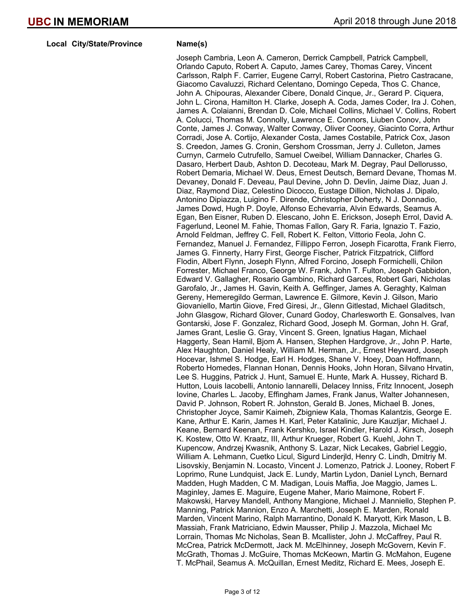**Local City/State/Province Mame(s)** 

Joseph Cambria, Leon A. Cameron, Derrick Campbell, Patrick Campbell, Orlando Caputo, Robert A. Caputo, James Carey, Thomas Carey, Vincent Carlsson, Ralph F. Carrier, Eugene Carryl, Robert Castorina, Pietro Castracane, Giacomo Cavaluzzi, Richard Celentano, Domingo Cepeda, Thos C. Chance, John A. Chipouras, Alexander Cibere, Donald Cinque, Jr., Gerard P. Ciquera, John L. Cirona, Hamilton H. Clarke, Joseph A. Coda, James Coder, Ira J. Cohen, James A. Colaianni, Brendan D. Cole, Michael Collins, Michael V. Collins, Robert A. Colucci, Thomas M. Connolly, Lawrence E. Connors, Liuben Conov, John Conte, James J. Conway, Walter Conway, Oliver Cooney, Giacinto Corra, Arthur Corradi, Jose A. Cortijo, Alexander Costa, James Costabile, Patrick Cox, Jason S. Creedon, James G. Cronin, Gershom Crossman, Jerry J. Culleton, James Curnyn, Carmelo Cutrufello, Samuel Cweibel, William Dannacker, Charles G. Dasaro, Herbert Daub, Ashton D. Decoteau, Mark M. Degray, Paul Dellorusso, Robert Demaria, Michael W. Deus, Ernest Deutsch, Bernard Devane, Thomas M. Devaney, Donald F. Deveau, Paul Devine, John D. Devlin, Jaime Diaz, Juan J. Diaz, Raymond Diaz, Celestino Dicocco, Eustage Dillion, Nicholas J. Dipalo, Antonino Dipiazza, Luigino F. Dirende, Christopher Doherty, N J. Donnadio, James Dowd, Hugh P. Doyle, Alfonso Echevarria, Alvin Edwards, Seamus A. Egan, Ben Eisner, Ruben D. Elescano, John E. Erickson, Joseph Errol, David A. Fagerlund, Leonel M. Fahie, Thomas Fallon, Gary R. Faria, Ignazio T. Fazio, Arnold Feldman, Jeffrey C. Fell, Robert K. Felton, Vittorio Feola, John C. Fernandez, Manuel J. Fernandez, Fillippo Ferron, Joseph Ficarotta, Frank Fierro, James G. Finnerty, Harry First, George Fischer, Patrick Fitzpatrick, Clifford Flodin, Albert Flynn, Joseph Flynn, Alfred Forcino, Joseph Formichelli, Chilon Forrester, Michael Franco, George W. Frank, John T. Fulton, Joseph Gabbidon, Edward V. Gallagher, Rosario Gambino, Richard Garces, Robert Gari, Nicholas Garofalo, Jr., James H. Gavin, Keith A. Geffinger, James A. Geraghty, Kalman Gereny, Hemeregildo German, Lawrence E. Gilmore, Kevin J. Gilson, Mario Giovaniello, Martin Giove, Fred Giresi, Jr., Glenn Gitlestad, Michael Gladitsch, John Glasgow, Richard Glover, Cunard Godoy, Charlesworth E. Gonsalves, Ivan Gontarski, Jose F. Gonzalez, Richard Good, Joseph M. Gorman, John H. Graf, James Grant, Leslie G. Gray, Vincent S. Green, Ignatius Hagan, Michael Haggerty, Sean Hamil, Bjom A. Hansen, Stephen Hardgrove, Jr., John P. Harte, Alex Haughton, Daniel Healy, William M. Herman, Jr., Ernest Heyward, Joseph Hocevar, Ishmel S. Hodge, Earl H. Hodges, Shane V. Hoey, Doan Hoffmann, Roberto Homedes, Flannan Honan, Dennis Hooks, John Horan, Silvano Hrvatin, Lee S. Huggins, Patrick J. Hunt, Samuel E. Hunte, Mark A. Hussey, Richard B. Hutton, Louis Iacobelli, Antonio Iannarelli, Delacey Inniss, Fritz Innocent, Joseph Iovine, Charles L. Jacoby, Effingham James, Frank Janus, Walter Johannesen, David P. Johnson, Robert R. Johnston, Gerald B. Jones, Michael B. Jones, Christopher Joyce, Samir Kaimeh, Zbigniew Kala, Thomas Kalantzis, George E. Kane, Arthur E. Karin, James H. Karl, Peter Katalinic, Jure Kauzljar, Michael J. Keane, Bernard Keenan, Frank Kershko, Israel Kindler, Harold J. Kirsch, Joseph K. Kostew, Otto W. Kraatz, III, Arthur Krueger, Robert G. Kuehl, John T. Kupencow, Andrzej Kwasnik, Anthony S. Lazar, Nick Lecakes, Gabriel Leggio, William A. Lehmann, Cuetko Licul, Sigurd Linderjld, Henry C. Lindh, Dmitriy M. Lisovskiy, Benjamin N. Locasto, Vincent J. Lomenzo, Patrick J. Looney, Robert F. Loprimo, Rune Lundquist, Jack E. Lundy, Martin Lydon, Daniel Lynch, Bernard Madden, Hugh Madden, C M. Madigan, Louis Maffia, Joe Maggio, James L. Maginley, James E. Maguire, Eugene Maher, Mario Maimone, Robert F. Makowski, Harvey Mandell, Anthony Mangione, Michael J. Manniello, Stephen P. Manning, Patrick Mannion, Enzo A. Marchetti, Joseph E. Marden, Ronald Marden, Vincent Marino, Ralph Marrantino, Donald K. Maryott, Kirk Mason, L B. Massiah, Frank Matriciano, Edwin Mausser, Philip J. Mazzola, Michael Mc Lorrain, Thomas Mc Nicholas, Sean B. Mcallister, John J. McCaffrey, Paul R. McCrea, Patrick McDermott, Jack M. McElhinney, Joseph McGovern, Kevin F. McGrath, Thomas J. McGuire, Thomas McKeown, Martin G. McMahon, Eugene T. McPhail, Seamus A. McQuillan, Ernest Meditz, Richard E. Mees, Joseph E.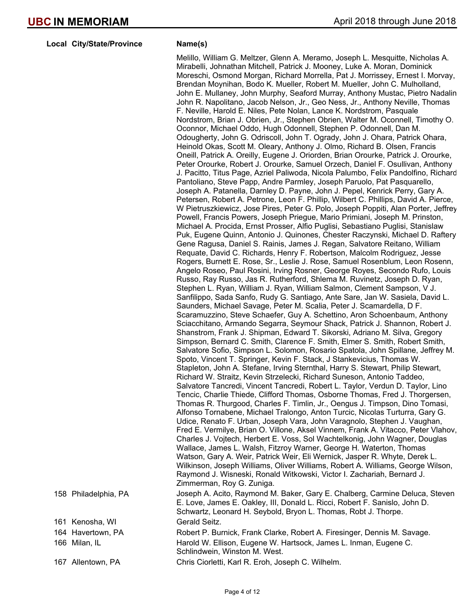**Local City/State/Province Mame(s)** 

Melillo, William G. Meltzer, Glenn A. Meramo, Joseph L. Mesquitte, Nicholas A. Mirabelli, Johnathan Mitchell, Patrick J. Mooney, Luke A. Moran, Dominick Moreschi, Osmond Morgan, Richard Morrella, Pat J. Morrissey, Ernest I. Morvay, Brendan Moynihan, Bodo K. Mueller, Robert M. Mueller, John C. Mulholland, John E. Mullaney, John Murphy, Seaford Murray, Anthony Mustac, Pietro Nadalin John R. Napolitano, Jacob Nelson, Jr., Geo Ness, Jr., Anthony Neville, Thomas F. Neville, Harold E. Niles, Pete Nolan, Lance K. Nordstrom, Pasquale Nordstrom, Brian J. Obrien, Jr., Stephen Obrien, Walter M. Oconnell, Timothy O. Oconnor, Michael Oddo, Hugh Odonnell, Stephen P. Odonnell, Dan M. Odougherty, John G. Odriscoll, John T. Ogrady, John J. Ohara, Patrick Ohara, Heinold Okas, Scott M. Oleary, Anthony J. Olmo, Richard B. Olsen, Francis Oneill, Patrick A. Oreilly, Eugene J. Oriorden, Brian Orourke, Patrick J. Orourke, Peter Orourke, Robert J. Orourke, Samuel Orzech, Daniel F. Osullivan, Anthony J. Pacitto, Titus Page, Azriel Paliwoda, Nicola Palumbo, Felix Pandolfino, Richard Pantoliano, Steve Papp, Andre Parmley, Joseph Paruolo, Pat Pasquarello, Joseph A. Patanella, Darnley D. Payne, John J. Pepel, Kenrick Perry, Gary A. Petersen, Robert A. Petrone, Leon F. Phillip, Wilbert C. Phillips, David A. Pierce, W Pietruszkiewicz, Jose Pires, Peter G. Polo, Joseph Poppiti, Alan Porter, Jeffrey Powell, Francis Powers, Joseph Priegue, Mario Primiani, Joseph M. Prinston, Michael A. Procida, Ernst Prosser, Alfio Puglisi, Sebastiano Puglisi, Stanislaw Puk, Eugene Quinn, Antonio J. Quinones, Chester Raczynski, Michael D. Raftery Gene Ragusa, Daniel S. Rainis, James J. Regan, Salvatore Reitano, William Requate, David C. Richards, Henry F. Robertson, Malcolm Rodriguez, Jesse Rogers, Burnett E. Rose, Sr., Leslie J. Rose, Samuel Rosenblum, Leon Rosenn, Angelo Roseo, Paul Rosini, Irving Rosner, George Royes, Secondo Rufo, Louis Russo, Ray Russo, Jas R. Rutherford, Shlema M. Ruvinetz, Joseph D. Ryan, Stephen L. Ryan, William J. Ryan, William Salmon, Clement Sampson, V J. Sanfilippo, Sada Sanfo, Rudy G. Santiago, Ante Sare, Jan W. Sasiela, David L. Saunders, Michael Savage, Peter M. Scalia, Peter J. Scamardella, D F. Scaramuzzino, Steve Schaefer, Guy A. Schettino, Aron Schoenbaum, Anthony Sciacchitano, Armando Segarra, Seymour Shack, Patrick J. Shannon, Robert J. Shanstrom, Frank J. Shipman, Edward T. Sikorski, Adriano M. Silva, Gregory Simpson, Bernard C. Smith, Clarence F. Smith, Elmer S. Smith, Robert Smith, Salvatore Sofio, Simpson L. Solomon, Rosario Spatola, John Spillane, Jeffrey M. Spoto, Vincent T. Springer, Kevin F. Stack, J Stankevicius, Thomas W. Stapleton, John A. Stefane, Irving Sternthal, Harry S. Stewart, Philip Stewart, Richard W. Straitz, Kevin Strzelecki, Richard Suneson, Antonio Taddeo, Salvatore Tancredi, Vincent Tancredi, Robert L. Taylor, Verdun D. Taylor, Lino Tencic, Charlie Thiede, Clifford Thomas, Osborne Thomas, Fred J. Thorgersen, Thomas R. Thurgood, Charles F. Timlin, Jr., Oengus J. Timpson, Dino Tomasi, Alfonso Tornabene, Michael Tralongo, Anton Turcic, Nicolas Turturra, Gary G. Udice, Renato F. Urban, Joseph Vara, John Varagnolo, Stephen J. Vaughan, Fred E. Vermilye, Brian O. Villone, Aksel Vinnem, Frank A. Vitacco, Peter Vlahov, Charles J. Vojtech, Herbert E. Voss, Sol Wachtelkonig, John Wagner, Douglas Wallace, James L. Walsh, Fitzroy Warner, George H. Waterton, Thomas Watson, Gary A. Weir, Patrick Weir, Eli Wernick, Jasper R. Whyte, Derek L. Wilkinson, Joseph Williams, Oliver Williams, Robert A. Williams, George Wilson, Raymond J. Wisneski, Ronald Witkowski, Victor I. Zachariah, Bernard J. Zimmerman, Roy G. Zuniga. 158 Philadelphia, PA Joseph A. Acito, Raymond M. Baker, Gary E. Chalberg, Carmine Deluca, Steven E. Love, James E. Oakley, III, Donald L. Ricci, Robert F. Sanislo, John D. Schwartz, Leonard H. Seybold, Bryon L. Thomas, Robt J. Thorpe. 161 Kenosha, WI Gerald Seitz. 164 Havertown, PA Robert P. Burnick, Frank Clarke, Robert A. Firesinger, Dennis M. Savage.

166 Milan, IL **Harold W. Ellison, Eugene W. Hartsock, James L. Inman, Eugene C.** Schlindwein, Winston M. West.

167 Allentown, PA Chris Ciorletti, Karl R. Eroh, Joseph C. Wilhelm.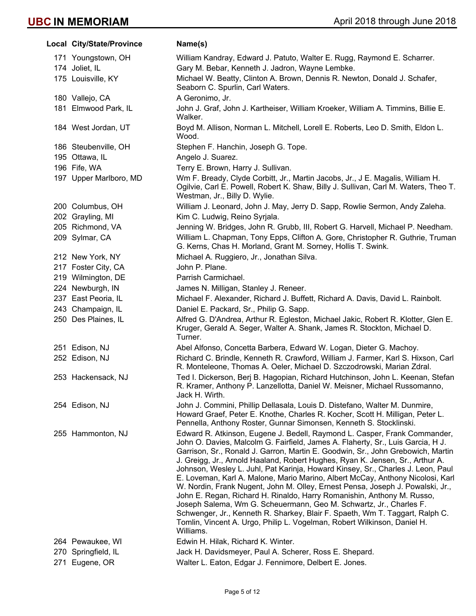| Local City/State/Province | Name(s)                                                                                                                                                                                                                                                                                                                                                                                                                                                                                                                                                                                                                                                                                                                                                                                                                                                                                                          |
|---------------------------|------------------------------------------------------------------------------------------------------------------------------------------------------------------------------------------------------------------------------------------------------------------------------------------------------------------------------------------------------------------------------------------------------------------------------------------------------------------------------------------------------------------------------------------------------------------------------------------------------------------------------------------------------------------------------------------------------------------------------------------------------------------------------------------------------------------------------------------------------------------------------------------------------------------|
| 171 Youngstown, OH        | William Kandray, Edward J. Patuto, Walter E. Rugg, Raymond E. Scharrer.                                                                                                                                                                                                                                                                                                                                                                                                                                                                                                                                                                                                                                                                                                                                                                                                                                          |
| 174 Joliet, IL            | Gary M. Bebar, Kenneth J. Jadron, Wayne Lembke.                                                                                                                                                                                                                                                                                                                                                                                                                                                                                                                                                                                                                                                                                                                                                                                                                                                                  |
| 175 Louisville, KY        | Michael W. Beatty, Clinton A. Brown, Dennis R. Newton, Donald J. Schafer,<br>Seaborn C. Spurlin, Carl Waters.                                                                                                                                                                                                                                                                                                                                                                                                                                                                                                                                                                                                                                                                                                                                                                                                    |
| 180 Vallejo, CA           | A Geronimo, Jr.                                                                                                                                                                                                                                                                                                                                                                                                                                                                                                                                                                                                                                                                                                                                                                                                                                                                                                  |
| 181 Elmwood Park, IL      | John J. Graf, John J. Kartheiser, William Kroeker, William A. Timmins, Billie E.<br>Walker.                                                                                                                                                                                                                                                                                                                                                                                                                                                                                                                                                                                                                                                                                                                                                                                                                      |
| 184 West Jordan, UT       | Boyd M. Allison, Norman L. Mitchell, Lorell E. Roberts, Leo D. Smith, Eldon L.<br>Wood.                                                                                                                                                                                                                                                                                                                                                                                                                                                                                                                                                                                                                                                                                                                                                                                                                          |
| 186 Steubenville, OH      | Stephen F. Hanchin, Joseph G. Tope.                                                                                                                                                                                                                                                                                                                                                                                                                                                                                                                                                                                                                                                                                                                                                                                                                                                                              |
| 195 Ottawa, IL            | Angelo J. Suarez.                                                                                                                                                                                                                                                                                                                                                                                                                                                                                                                                                                                                                                                                                                                                                                                                                                                                                                |
| 196 Fife, WA              | Terry E. Brown, Harry J. Sullivan.                                                                                                                                                                                                                                                                                                                                                                                                                                                                                                                                                                                                                                                                                                                                                                                                                                                                               |
| 197 Upper Marlboro, MD    | Wm F. Bready, Clyde Corbitt, Jr., Martin Jacobs, Jr., J E. Magalis, William H.<br>Ogilvie, Carl E. Powell, Robert K. Shaw, Billy J. Sullivan, Carl M. Waters, Theo T.<br>Westman, Jr., Billy D. Wylie.                                                                                                                                                                                                                                                                                                                                                                                                                                                                                                                                                                                                                                                                                                           |
| 200 Columbus, OH          | William J. Leonard, John J. May, Jerry D. Sapp, Rowlie Sermon, Andy Zaleha.                                                                                                                                                                                                                                                                                                                                                                                                                                                                                                                                                                                                                                                                                                                                                                                                                                      |
| 202 Grayling, MI          | Kim C. Ludwig, Reino Syrjala.                                                                                                                                                                                                                                                                                                                                                                                                                                                                                                                                                                                                                                                                                                                                                                                                                                                                                    |
| 205 Richmond, VA          | Jenning W. Bridges, John R. Grubb, III, Robert G. Harvell, Michael P. Needham.                                                                                                                                                                                                                                                                                                                                                                                                                                                                                                                                                                                                                                                                                                                                                                                                                                   |
| 209 Sylmar, CA            | William L. Chapman, Tony Epps, Clifton A. Gore, Christopher R. Guthrie, Truman<br>G. Kerns, Chas H. Morland, Grant M. Sorney, Hollis T. Swink.                                                                                                                                                                                                                                                                                                                                                                                                                                                                                                                                                                                                                                                                                                                                                                   |
| 212 New York, NY          | Michael A. Ruggiero, Jr., Jonathan Silva.                                                                                                                                                                                                                                                                                                                                                                                                                                                                                                                                                                                                                                                                                                                                                                                                                                                                        |
| 217 Foster City, CA       | John P. Plane.                                                                                                                                                                                                                                                                                                                                                                                                                                                                                                                                                                                                                                                                                                                                                                                                                                                                                                   |
| 219 Wilmington, DE        | Parrish Carmichael.                                                                                                                                                                                                                                                                                                                                                                                                                                                                                                                                                                                                                                                                                                                                                                                                                                                                                              |
| 224 Newburgh, IN          | James N. Milligan, Stanley J. Reneer.                                                                                                                                                                                                                                                                                                                                                                                                                                                                                                                                                                                                                                                                                                                                                                                                                                                                            |
| 237 East Peoria, IL       | Michael F. Alexander, Richard J. Buffett, Richard A. Davis, David L. Rainbolt.                                                                                                                                                                                                                                                                                                                                                                                                                                                                                                                                                                                                                                                                                                                                                                                                                                   |
| 243 Champaign, IL         | Daniel E. Packard, Sr., Philip G. Sapp.                                                                                                                                                                                                                                                                                                                                                                                                                                                                                                                                                                                                                                                                                                                                                                                                                                                                          |
| 250 Des Plaines, IL       | Alfred G. D'Andrea, Arthur R. Egleston, Michael Jakic, Robert R. Klotter, Glen E.<br>Kruger, Gerald A. Seger, Walter A. Shank, James R. Stockton, Michael D.<br>Turner.                                                                                                                                                                                                                                                                                                                                                                                                                                                                                                                                                                                                                                                                                                                                          |
| 251 Edison, NJ            | Abel Alfonso, Concetta Barbera, Edward W. Logan, Dieter G. Machoy.                                                                                                                                                                                                                                                                                                                                                                                                                                                                                                                                                                                                                                                                                                                                                                                                                                               |
| 252 Edison, NJ            | Richard C. Brindle, Kenneth R. Crawford, William J. Farmer, Karl S. Hixson, Carl<br>R. Monteleone, Thomas A. Oeler, Michael D. Szczodrowski, Marian Zdral.                                                                                                                                                                                                                                                                                                                                                                                                                                                                                                                                                                                                                                                                                                                                                       |
| 253 Hackensack, NJ        | Ted I. Dickerson, Berj B. Hagopian, Richard Hutchinson, John L. Keenan, Stefan<br>R. Kramer, Anthony P. Lanzellotta, Daniel W. Meisner, Michael Russomanno,<br>Jack H. Wirth.                                                                                                                                                                                                                                                                                                                                                                                                                                                                                                                                                                                                                                                                                                                                    |
| 254 Edison, NJ            | John J. Commini, Phillip Dellasala, Louis D. Distefano, Walter M. Dunmire,<br>Howard Graef, Peter E. Knothe, Charles R. Kocher, Scott H. Milligan, Peter L.<br>Pennella, Anthony Roster, Gunnar Simonsen, Kenneth S. Stocklinski.                                                                                                                                                                                                                                                                                                                                                                                                                                                                                                                                                                                                                                                                                |
| 255 Hammonton, NJ         | Edward R. Atkinson, Eugene J. Bedell, Raymond L. Casper, Frank Commander,<br>John O. Davies, Malcolm G. Fairfield, James A. Flaherty, Sr., Luis Garcia, H J.<br>Garrison, Sr., Ronald J. Garron, Martin E. Goodwin, Sr., John Grebowich, Martin<br>J. Greigg, Jr., Arnold Haaland, Robert Hughes, Ryan K. Jensen, Sr., Arthur A.<br>Johnson, Wesley L. Juhl, Pat Karinja, Howard Kinsey, Sr., Charles J. Leon, Paul<br>E. Loveman, Karl A. Malone, Mario Marino, Albert McCay, Anthony Nicolosi, Karl<br>W. Nordin, Frank Nugent, John M. Olley, Ernest Pensa, Joseph J. Powalski, Jr.,<br>John E. Regan, Richard H. Rinaldo, Harry Romanishin, Anthony M. Russo,<br>Joseph Salema, Wm G. Scheuermann, Geo M. Schwartz, Jr., Charles F.<br>Schwenger, Jr., Kenneth R. Sharkey, Blair F. Spaeth, Wm T. Taggart, Ralph C.<br>Tomlin, Vincent A. Urgo, Philip L. Vogelman, Robert Wilkinson, Daniel H.<br>Williams. |
| 264 Pewaukee, WI          | Edwin H. Hilak, Richard K. Winter.                                                                                                                                                                                                                                                                                                                                                                                                                                                                                                                                                                                                                                                                                                                                                                                                                                                                               |
| 270 Springfield, IL       | Jack H. Davidsmeyer, Paul A. Scherer, Ross E. Shepard.                                                                                                                                                                                                                                                                                                                                                                                                                                                                                                                                                                                                                                                                                                                                                                                                                                                           |
| 271 Eugene, OR            | Walter L. Eaton, Edgar J. Fennimore, Delbert E. Jones.                                                                                                                                                                                                                                                                                                                                                                                                                                                                                                                                                                                                                                                                                                                                                                                                                                                           |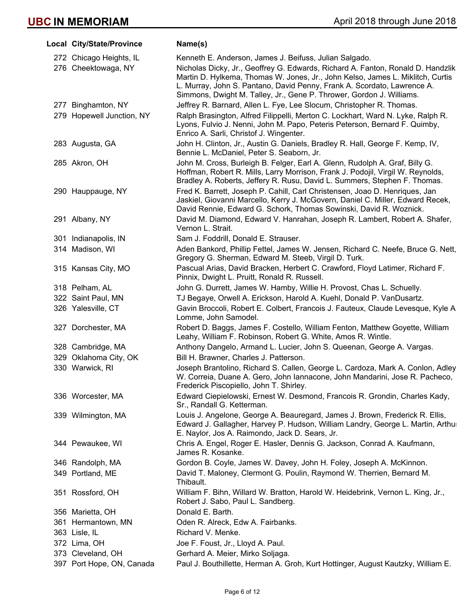| Local City/State/Province | Name(s)                                                                                                                                                                                                                                                                                                              |
|---------------------------|----------------------------------------------------------------------------------------------------------------------------------------------------------------------------------------------------------------------------------------------------------------------------------------------------------------------|
| 272 Chicago Heights, IL   | Kenneth E. Anderson, James J. Beifuss, Julian Salgado.                                                                                                                                                                                                                                                               |
| 276 Cheektowaga, NY       | Nicholas Dicky, Jr., Geoffrey G. Edwards, Richard A. Fanton, Ronald D. Handzlik<br>Martin D. Hylkema, Thomas W. Jones, Jr., John Kelso, James L. Miklitch, Curtis<br>L. Murray, John S. Pantano, David Penny, Frank A. Scordato, Lawrence A.<br>Simmons, Dwight M. Talley, Jr., Gene P. Thrower, Gordon J. Williams. |
| 277 Binghamton, NY        | Jeffrey R. Barnard, Allen L. Fye, Lee Slocum, Christopher R. Thomas.                                                                                                                                                                                                                                                 |
| 279 Hopewell Junction, NY | Ralph Brasington, Alfred Filippelli, Merton C. Lockhart, Ward N. Lyke, Ralph R.<br>Lyons, Fulvio J. Nenni, John M. Papo, Peteris Peterson, Bernard F. Quimby,<br>Enrico A. Sarli, Christof J. Wingenter.                                                                                                             |
| 283 Augusta, GA           | John H. Clinton, Jr., Austin G. Daniels, Bradley R. Hall, George F. Kemp, IV,<br>Bennie L. McDaniel, Peter S. Seaborn, Jr.                                                                                                                                                                                           |
| 285 Akron, OH             | John M. Cross, Burleigh B. Felger, Earl A. Glenn, Rudolph A. Graf, Billy G.<br>Hoffman, Robert R. Mills, Larry Morrison, Frank J. Podojil, Virgil W. Reynolds,<br>Bradley A. Roberts, Jeffery R. Rusu, David L. Summers, Stephen F. Thomas.                                                                          |
| 290 Hauppauge, NY         | Fred K. Barrett, Joseph P. Cahill, Carl Christensen, Joao D. Henriques, Jan<br>Jaskiel, Giovanni Marcello, Kerry J. McGovern, Daniel C. Miller, Edward Recek,<br>David Rennie, Edward G. Schork, Thomas Sowinski, David R. Woznick.                                                                                  |
| 291 Albany, NY            | David M. Diamond, Edward V. Hanrahan, Joseph R. Lambert, Robert A. Shafer,<br>Vernon L. Strait.                                                                                                                                                                                                                      |
| 301 Indianapolis, IN      | Sam J. Foddrill, Donald E. Strauser.                                                                                                                                                                                                                                                                                 |
| 314 Madison, WI           | Aden Bankord, Phillip Fettel, James W. Jensen, Richard C. Neefe, Bruce G. Nett,<br>Gregory G. Sherman, Edward M. Steeb, Virgil D. Turk.                                                                                                                                                                              |
| 315 Kansas City, MO       | Pascual Arias, David Bracken, Herbert C. Crawford, Floyd Latimer, Richard F.<br>Pinnix, Dwight L. Pruitt, Ronald R. Russell.                                                                                                                                                                                         |
| 318 Pelham, AL            | John G. Durrett, James W. Hamby, Willie H. Provost, Chas L. Schuelly.                                                                                                                                                                                                                                                |
| 322 Saint Paul, MN        | TJ Begaye, Orwell A. Erickson, Harold A. Kuehl, Donald P. VanDusartz.                                                                                                                                                                                                                                                |
| 326 Yalesville, CT        | Gavin Broccoli, Robert E. Colbert, Francois J. Fauteux, Claude Levesque, Kyle A.<br>Lomme, John Samodel.                                                                                                                                                                                                             |
| 327 Dorchester, MA        | Robert D. Baggs, James F. Costello, William Fenton, Matthew Goyette, William<br>Leahy, William F. Robinson, Robert G. White, Amos R. Wintle.                                                                                                                                                                         |
| 328 Cambridge, MA         | Anthony Dangelo, Armand L. Lucier, John S. Queenan, George A. Vargas.                                                                                                                                                                                                                                                |
| 329 Oklahoma City, OK     | Bill H. Brawner, Charles J. Patterson.                                                                                                                                                                                                                                                                               |
| 330 Warwick, RI           | Joseph Brantolino, Richard S. Callen, George L. Cardoza, Mark A. Conlon, Adley<br>W. Correia, Duane A. Gero, John Iannacone, John Mandarini, Jose R. Pacheco,<br>Frederick Piscopiello, John T. Shirley.                                                                                                             |
| 336 Worcester, MA         | Edward Ciepielowski, Ernest W. Desmond, Francois R. Grondin, Charles Kady,<br>Sr., Randall G. Ketterman.                                                                                                                                                                                                             |
| 339 Wilmington, MA        | Louis J. Angelone, George A. Beauregard, James J. Brown, Frederick R. Ellis,<br>Edward J. Gallagher, Harvey P. Hudson, William Landry, George L. Martin, Arthur<br>E. Naylor, Jos A. Raimondo, Jack D. Sears, Jr.                                                                                                    |
| 344 Pewaukee, WI          | Chris A. Engel, Roger E. Hasler, Dennis G. Jackson, Conrad A. Kaufmann,<br>James R. Kosanke.                                                                                                                                                                                                                         |
| 346 Randolph, MA          | Gordon B. Coyle, James W. Davey, John H. Foley, Joseph A. McKinnon.                                                                                                                                                                                                                                                  |
| 349 Portland, ME          | David T. Maloney, Clermont G. Poulin, Raymond W. Therrien, Bernard M.<br>Thibault.                                                                                                                                                                                                                                   |
| 351 Rossford, OH          | William F. Bihn, Willard W. Bratton, Harold W. Heidebrink, Vernon L. King, Jr.,<br>Robert J. Sabo, Paul L. Sandberg.                                                                                                                                                                                                 |
| 356 Marietta, OH          | Donald E. Barth.                                                                                                                                                                                                                                                                                                     |
| 361 Hermantown, MN        | Oden R. Alreck, Edw A. Fairbanks.                                                                                                                                                                                                                                                                                    |
| 363 Lisle, IL             | Richard V. Menke.                                                                                                                                                                                                                                                                                                    |
| 372 Lima, OH              | Joe F. Foust, Jr., Lloyd A. Paul.                                                                                                                                                                                                                                                                                    |
| 373 Cleveland, OH         | Gerhard A. Meier, Mirko Soljaga.                                                                                                                                                                                                                                                                                     |
| 397 Port Hope, ON, Canada | Paul J. Bouthillette, Herman A. Groh, Kurt Hottinger, August Kautzky, William E.                                                                                                                                                                                                                                     |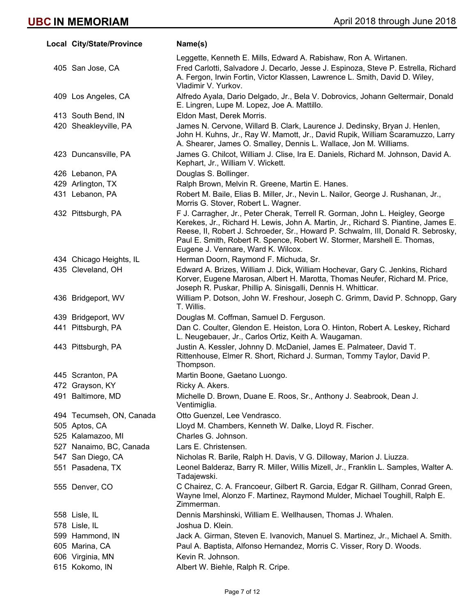| Local City/State/Province | Name(s)                                                                                                                                                                                                                                                                                                                                                                  |
|---------------------------|--------------------------------------------------------------------------------------------------------------------------------------------------------------------------------------------------------------------------------------------------------------------------------------------------------------------------------------------------------------------------|
|                           | Leggette, Kenneth E. Mills, Edward A. Rabishaw, Ron A. Wirtanen.                                                                                                                                                                                                                                                                                                         |
| 405 San Jose, CA          | Fred Carlotti, Salvadore J. Decarlo, Jesse J. Espinoza, Steve P. Estrella, Richard<br>A. Fergon, Irwin Fortin, Victor Klassen, Lawrence L. Smith, David D. Wiley,<br>Vladimir V. Yurkov.                                                                                                                                                                                 |
| 409 Los Angeles, CA       | Alfredo Ayala, Dario Delgado, Jr., Bela V. Dobrovics, Johann Geltermair, Donald<br>E. Lingren, Lupe M. Lopez, Joe A. Mattillo.                                                                                                                                                                                                                                           |
| 413 South Bend, IN        | Eldon Mast, Derek Morris.                                                                                                                                                                                                                                                                                                                                                |
| 420 Sheakleyville, PA     | James N. Cervone, Willard B. Clark, Laurence J. Dedinsky, Bryan J. Henlen,<br>John H. Kuhns, Jr., Ray W. Mamott, Jr., David Rupik, William Scaramuzzo, Larry<br>A. Shearer, James O. Smalley, Dennis L. Wallace, Jon M. Williams.                                                                                                                                        |
| 423 Duncansville, PA      | James G. Chilcot, William J. Clise, Ira E. Daniels, Richard M. Johnson, David A.<br>Kephart, Jr., William V. Wickett.                                                                                                                                                                                                                                                    |
| 426 Lebanon, PA           | Douglas S. Bollinger.                                                                                                                                                                                                                                                                                                                                                    |
| 429 Arlington, TX         | Ralph Brown, Melvin R. Greene, Martin E. Hanes.                                                                                                                                                                                                                                                                                                                          |
| 431 Lebanon, PA           | Robert M. Baile, Elias B. Miller, Jr., Nevin L. Nailor, George J. Rushanan, Jr.,<br>Morris G. Stover, Robert L. Wagner.                                                                                                                                                                                                                                                  |
| 432 Pittsburgh, PA        | F J. Carragher, Jr., Peter Cherak, Terrell R. Gorman, John L. Heigley, George<br>Kerekes, Jr., Richard H. Lewis, John A. Martin, Jr., Richard S. Piantine, James E.<br>Reese, II, Robert J. Schroeder, Sr., Howard P. Schwalm, III, Donald R. Sebrosky,<br>Paul E. Smith, Robert R. Spence, Robert W. Stormer, Marshell E. Thomas,<br>Eugene J. Vennare, Ward K. Wilcox. |
| 434 Chicago Heights, IL   | Herman Doorn, Raymond F. Michuda, Sr.                                                                                                                                                                                                                                                                                                                                    |
| 435 Cleveland, OH         | Edward A. Brizes, William J. Dick, William Hochevar, Gary C. Jenkins, Richard<br>Korver, Eugene Marosan, Albert H. Marotta, Thomas Neufer, Richard M. Price,<br>Joseph R. Puskar, Phillip A. Sinisgalli, Dennis H. Whitticar.                                                                                                                                            |
| 436 Bridgeport, WV        | William P. Dotson, John W. Freshour, Joseph C. Grimm, David P. Schnopp, Gary<br>T. Willis.                                                                                                                                                                                                                                                                               |
| 439 Bridgeport, WV        | Douglas M. Coffman, Samuel D. Ferguson.                                                                                                                                                                                                                                                                                                                                  |
| 441 Pittsburgh, PA        | Dan C. Coulter, Glendon E. Heiston, Lora O. Hinton, Robert A. Leskey, Richard<br>L. Neugebauer, Jr., Carlos Ortiz, Keith A. Waugaman.                                                                                                                                                                                                                                    |
| 443 Pittsburgh, PA        | Justin A. Kessler, Johnny D. McDaniel, James E. Palmateer, David T.<br>Rittenhouse, Elmer R. Short, Richard J. Surman, Tommy Taylor, David P.<br>Thompson.                                                                                                                                                                                                               |
| 445 Scranton, PA          | Martin Boone, Gaetano Luongo.                                                                                                                                                                                                                                                                                                                                            |
| 472 Grayson, KY           | Ricky A. Akers.                                                                                                                                                                                                                                                                                                                                                          |
| 491 Baltimore, MD         | Michelle D. Brown, Duane E. Roos, Sr., Anthony J. Seabrook, Dean J.<br>Ventimiglia.                                                                                                                                                                                                                                                                                      |
| 494 Tecumseh, ON, Canada  | Otto Guenzel, Lee Vendrasco.                                                                                                                                                                                                                                                                                                                                             |
| 505 Aptos, CA             | Lloyd M. Chambers, Kenneth W. Dalke, Lloyd R. Fischer.                                                                                                                                                                                                                                                                                                                   |
| 525 Kalamazoo, MI         | Charles G. Johnson.                                                                                                                                                                                                                                                                                                                                                      |
| 527 Nanaimo, BC, Canada   | Lars E. Christensen.                                                                                                                                                                                                                                                                                                                                                     |
| 547 San Diego, CA         | Nicholas R. Barile, Ralph H. Davis, V G. Dilloway, Marion J. Liuzza.                                                                                                                                                                                                                                                                                                     |
| 551 Pasadena, TX          | Leonel Balderaz, Barry R. Miller, Willis Mizell, Jr., Franklin L. Samples, Walter A.<br>Tadajewski.                                                                                                                                                                                                                                                                      |
| 555 Denver, CO            | C Chairez, C. A. Francoeur, Gilbert R. Garcia, Edgar R. Gillham, Conrad Green,<br>Wayne Imel, Alonzo F. Martinez, Raymond Mulder, Michael Toughill, Ralph E.<br>Zimmerman.                                                                                                                                                                                               |
| 558 Lisle, IL             | Dennis Marshinski, William E. Wellhausen, Thomas J. Whalen.                                                                                                                                                                                                                                                                                                              |
| 578 Lisle, IL             | Joshua D. Klein.                                                                                                                                                                                                                                                                                                                                                         |
| 599 Hammond, IN           | Jack A. Girman, Steven E. Ivanovich, Manuel S. Martinez, Jr., Michael A. Smith.                                                                                                                                                                                                                                                                                          |
| 605 Marina, CA            | Paul A. Baptista, Alfonso Hernandez, Morris C. Visser, Rory D. Woods.                                                                                                                                                                                                                                                                                                    |
| 606 Virginia, MN          | Kevin R. Johnson.                                                                                                                                                                                                                                                                                                                                                        |
| 615 Kokomo, IN            | Albert W. Biehle, Ralph R. Cripe.                                                                                                                                                                                                                                                                                                                                        |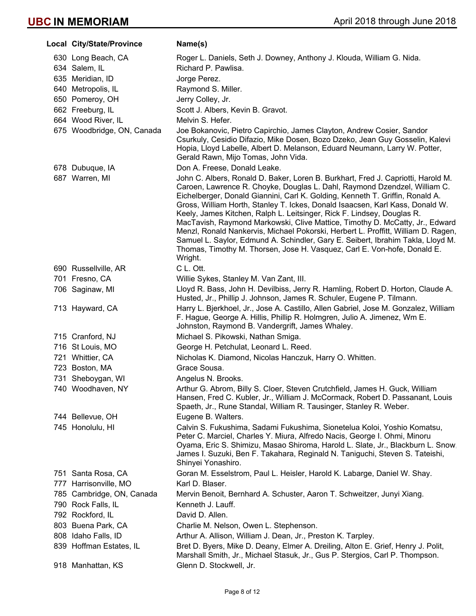| Local City/State/Province                       | Name(s)                                                                                                                                                                                                                                                                                                                                                                                                                                                                                                                                                                                                                                                                                                                                                  |
|-------------------------------------------------|----------------------------------------------------------------------------------------------------------------------------------------------------------------------------------------------------------------------------------------------------------------------------------------------------------------------------------------------------------------------------------------------------------------------------------------------------------------------------------------------------------------------------------------------------------------------------------------------------------------------------------------------------------------------------------------------------------------------------------------------------------|
| 630 Long Beach, CA                              | Roger L. Daniels, Seth J. Downey, Anthony J. Klouda, William G. Nida.                                                                                                                                                                                                                                                                                                                                                                                                                                                                                                                                                                                                                                                                                    |
| 634 Salem, IL                                   | Richard P. Pawlisa.                                                                                                                                                                                                                                                                                                                                                                                                                                                                                                                                                                                                                                                                                                                                      |
| 635 Meridian, ID                                | Jorge Perez.                                                                                                                                                                                                                                                                                                                                                                                                                                                                                                                                                                                                                                                                                                                                             |
| 640 Metropolis, IL                              | Raymond S. Miller.                                                                                                                                                                                                                                                                                                                                                                                                                                                                                                                                                                                                                                                                                                                                       |
| 650 Pomeroy, OH                                 | Jerry Colley, Jr.                                                                                                                                                                                                                                                                                                                                                                                                                                                                                                                                                                                                                                                                                                                                        |
| 662 Freeburg, IL                                | Scott J. Albers, Kevin B. Gravot.                                                                                                                                                                                                                                                                                                                                                                                                                                                                                                                                                                                                                                                                                                                        |
| 664 Wood River, IL                              | Melvin S. Hefer.                                                                                                                                                                                                                                                                                                                                                                                                                                                                                                                                                                                                                                                                                                                                         |
| 675 Woodbridge, ON, Canada                      | Joe Bokanovic, Pietro Capirchio, James Clayton, Andrew Cosier, Sandor<br>Csurkuly, Cesidio Difazio, Mike Dosen, Bozo Dzeko, Jean Guy Gosselin, Kalevi<br>Hopia, Lloyd Labelle, Albert D. Melanson, Eduard Neumann, Larry W. Potter,<br>Gerald Rawn, Mijo Tomas, John Vida.                                                                                                                                                                                                                                                                                                                                                                                                                                                                               |
| 678 Dubuque, IA                                 | Don A. Freese, Donald Leake.                                                                                                                                                                                                                                                                                                                                                                                                                                                                                                                                                                                                                                                                                                                             |
| 687 Warren, MI                                  | John C. Albers, Ronald D. Baker, Loren B. Burkhart, Fred J. Capriotti, Harold M.<br>Caroen, Lawrence R. Choyke, Douglas L. Dahl, Raymond Dzendzel, William C.<br>Eichelberger, Donald Giannini, Carl K. Golding, Kenneth T. Griffin, Ronald A.<br>Gross, William Horth, Stanley T. Ickes, Donald Isaacsen, Karl Kass, Donald W.<br>Keely, James Kitchen, Ralph L. Leitsinger, Rick F. Lindsey, Douglas R.<br>MacTavish, Raymond Markowski, Clive Mattice, Timothy D. McCatty, Jr., Edward<br>Menzl, Ronald Nankervis, Michael Pokorski, Herbert L. Proffitt, William D. Ragen,<br>Samuel L. Saylor, Edmund A. Schindler, Gary E. Seibert, Ibrahim Takla, Lloyd M.<br>Thomas, Timothy M. Thorsen, Jose H. Vasquez, Carl E. Von-hofe, Donald E.<br>Wright. |
| 690 Russellville, AR                            | C L. Ott.                                                                                                                                                                                                                                                                                                                                                                                                                                                                                                                                                                                                                                                                                                                                                |
| 701 Fresno, CA                                  | Willie Sykes, Stanley M. Van Zant, III.                                                                                                                                                                                                                                                                                                                                                                                                                                                                                                                                                                                                                                                                                                                  |
| 706 Saginaw, MI                                 | Lloyd R. Bass, John H. Devilbiss, Jerry R. Hamling, Robert D. Horton, Claude A.<br>Husted, Jr., Phillip J. Johnson, James R. Schuler, Eugene P. Tilmann.                                                                                                                                                                                                                                                                                                                                                                                                                                                                                                                                                                                                 |
| 713 Hayward, CA                                 | Harry L. Bjerkhoel, Jr., Jose A. Castillo, Allen Gabriel, Jose M. Gonzalez, William<br>F. Hague, George A. Hillis, Phillip R. Holmgren, Julio A. Jimenez, Wm E.<br>Johnston, Raymond B. Vandergrift, James Whaley.                                                                                                                                                                                                                                                                                                                                                                                                                                                                                                                                       |
| 715 Cranford, NJ                                | Michael S. Pikowski, Nathan Smiga.                                                                                                                                                                                                                                                                                                                                                                                                                                                                                                                                                                                                                                                                                                                       |
| 716 St Louis, MO                                | George H. Petchulat, Leonard L. Reed.                                                                                                                                                                                                                                                                                                                                                                                                                                                                                                                                                                                                                                                                                                                    |
| 721 Whittier, CA                                | Nicholas K. Diamond, Nicolas Hanczuk, Harry O. Whitten.                                                                                                                                                                                                                                                                                                                                                                                                                                                                                                                                                                                                                                                                                                  |
| 723 Boston, MA                                  | Grace Sousa.                                                                                                                                                                                                                                                                                                                                                                                                                                                                                                                                                                                                                                                                                                                                             |
| 731 Sheboygan, WI                               | Angelus N. Brooks.                                                                                                                                                                                                                                                                                                                                                                                                                                                                                                                                                                                                                                                                                                                                       |
| 740 Woodhaven, NY                               | Arthur G. Abrom, Billy S. Cloer, Steven Crutchfield, James H. Guck, William<br>Hansen, Fred C. Kubler, Jr., William J. McCormack, Robert D. Passanant, Louis<br>Spaeth, Jr., Rune Standal, William R. Tausinger, Stanley R. Weber.                                                                                                                                                                                                                                                                                                                                                                                                                                                                                                                       |
| 744 Bellevue, OH                                | Eugene B. Walters.                                                                                                                                                                                                                                                                                                                                                                                                                                                                                                                                                                                                                                                                                                                                       |
| 745 Honolulu, HI                                | Calvin S. Fukushima, Sadami Fukushima, Sionetelua Koloi, Yoshio Komatsu,<br>Peter C. Marciel, Charles Y. Miura, Alfredo Nacis, George I. Ohmi, Minoru<br>Oyama, Eric S. Shimizu, Masao Shiroma, Harold L. Slate, Jr., Blackburn L. Snow,<br>James I. Suzuki, Ben F. Takahara, Reginald N. Taniguchi, Steven S. Tateishi,<br>Shinyei Yonashiro.                                                                                                                                                                                                                                                                                                                                                                                                           |
| 751 Santa Rosa, CA                              | Goran M. Esselstrom, Paul L. Heisler, Harold K. Labarge, Daniel W. Shay.                                                                                                                                                                                                                                                                                                                                                                                                                                                                                                                                                                                                                                                                                 |
| 777 Harrisonville, MO                           | Karl D. Blaser.                                                                                                                                                                                                                                                                                                                                                                                                                                                                                                                                                                                                                                                                                                                                          |
| 785 Cambridge, ON, Canada<br>790 Rock Falls, IL | Mervin Benoit, Bernhard A. Schuster, Aaron T. Schweitzer, Junyi Xiang.<br>Kenneth J. Lauff.                                                                                                                                                                                                                                                                                                                                                                                                                                                                                                                                                                                                                                                              |
| 792 Rockford, IL                                | David D. Allen.                                                                                                                                                                                                                                                                                                                                                                                                                                                                                                                                                                                                                                                                                                                                          |
| 803 Buena Park, CA                              | Charlie M. Nelson, Owen L. Stephenson.                                                                                                                                                                                                                                                                                                                                                                                                                                                                                                                                                                                                                                                                                                                   |
| 808 Idaho Falls, ID                             | Arthur A. Allison, William J. Dean, Jr., Preston K. Tarpley.                                                                                                                                                                                                                                                                                                                                                                                                                                                                                                                                                                                                                                                                                             |
| 839 Hoffman Estates, IL                         | Bret D. Byers, Mike D. Deany, Elmer A. Dreiling, Alton E. Grief, Henry J. Polit,<br>Marshall Smith, Jr., Michael Stasuk, Jr., Gus P. Stergios, Carl P. Thompson.                                                                                                                                                                                                                                                                                                                                                                                                                                                                                                                                                                                         |
| 918 Manhattan, KS                               | Glenn D. Stockwell, Jr.                                                                                                                                                                                                                                                                                                                                                                                                                                                                                                                                                                                                                                                                                                                                  |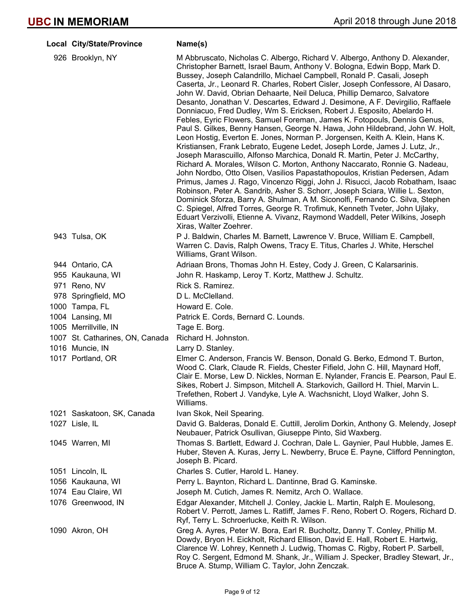| Local City/State/Province       | Name(s)                                                                                                                                                                                                                                                                                                                                                                                                                                                                                                                                                                                                                                                                                                                                                                                                                                                                                                                                                                                                                                                                                                                                                                                                                                                                                                                                                                                                                                                                                                                                                                       |
|---------------------------------|-------------------------------------------------------------------------------------------------------------------------------------------------------------------------------------------------------------------------------------------------------------------------------------------------------------------------------------------------------------------------------------------------------------------------------------------------------------------------------------------------------------------------------------------------------------------------------------------------------------------------------------------------------------------------------------------------------------------------------------------------------------------------------------------------------------------------------------------------------------------------------------------------------------------------------------------------------------------------------------------------------------------------------------------------------------------------------------------------------------------------------------------------------------------------------------------------------------------------------------------------------------------------------------------------------------------------------------------------------------------------------------------------------------------------------------------------------------------------------------------------------------------------------------------------------------------------------|
| 926 Brooklyn, NY                | M Abbruscato, Nicholas C. Albergo, Richard V. Albergo, Anthony D. Alexander,<br>Christopher Barnett, Israel Baum, Anthony V. Bologna, Edwin Bopp, Mark D.<br>Bussey, Joseph Calandrillo, Michael Campbell, Ronald P. Casali, Joseph<br>Caserta, Jr., Leonard R. Charles, Robert Cisler, Joseph Confessore, Al Dasaro,<br>John W. David, Obrian Dehaarte, Neil Deluca, Phillip Demarco, Salvatore<br>Desanto, Jonathan V. Descartes, Edward J. Desimone, A F. Devirgilio, Raffaele<br>Donniacuo, Fred Dudley, Wm S. Ericksen, Robert J. Esposito, Abelardo H.<br>Febles, Eyric Flowers, Samuel Foreman, James K. Fotopouls, Dennis Genus,<br>Paul S. Gilkes, Benny Hansen, George N. Hawa, John Hildebrand, John W. Holt,<br>Leon Hostig, Everton E. Jones, Norman P. Jorgensen, Keith A. Klein, Hans K.<br>Kristiansen, Frank Lebrato, Eugene Ledet, Joseph Lorde, James J. Lutz, Jr.,<br>Joseph Marascuillo, Alfonso Marchica, Donald R. Martin, Peter J. McCarthy,<br>Richard A. Morales, Wilson C. Morton, Anthony Naccarato, Ronnie G. Nadeau,<br>John Nordbo, Otto Olsen, Vasilios Papastathopoulos, Kristian Pedersen, Adam<br>Primus, James J. Rago, Vincenzo Riggi, John J. Risucci, Jacob Robatham, Isaac<br>Robinson, Peter A. Sandrib, Asher S. Schorr, Joseph Sciara, Willie L. Sexton,<br>Dominick Sforza, Barry A. Shulman, A M. Siconolfi, Fernando C. Silva, Stephen<br>C. Spiegel, Alfred Torres, George R. Trofimuk, Kenneth Tveter, John Ujlaky,<br>Eduart Verzivolli, Etienne A. Vivanz, Raymond Waddell, Peter Wilkins, Joseph<br>Xiras, Walter Zoehrer. |
| 943 Tulsa, OK                   | P J. Baldwin, Charles M. Barnett, Lawrence V. Bruce, William E. Campbell,<br>Warren C. Davis, Ralph Owens, Tracy E. Titus, Charles J. White, Herschel<br>Williams, Grant Wilson.                                                                                                                                                                                                                                                                                                                                                                                                                                                                                                                                                                                                                                                                                                                                                                                                                                                                                                                                                                                                                                                                                                                                                                                                                                                                                                                                                                                              |
| 944 Ontario, CA                 | Adriaan Brons, Thomas John H. Estey, Cody J. Green, C Kalarsarinis.                                                                                                                                                                                                                                                                                                                                                                                                                                                                                                                                                                                                                                                                                                                                                                                                                                                                                                                                                                                                                                                                                                                                                                                                                                                                                                                                                                                                                                                                                                           |
| 955 Kaukauna, WI                | John R. Haskamp, Leroy T. Kortz, Matthew J. Schultz.                                                                                                                                                                                                                                                                                                                                                                                                                                                                                                                                                                                                                                                                                                                                                                                                                                                                                                                                                                                                                                                                                                                                                                                                                                                                                                                                                                                                                                                                                                                          |
| 971 Reno, NV                    | Rick S. Ramirez.                                                                                                                                                                                                                                                                                                                                                                                                                                                                                                                                                                                                                                                                                                                                                                                                                                                                                                                                                                                                                                                                                                                                                                                                                                                                                                                                                                                                                                                                                                                                                              |
| 978 Springfield, MO             | D L. McClelland.                                                                                                                                                                                                                                                                                                                                                                                                                                                                                                                                                                                                                                                                                                                                                                                                                                                                                                                                                                                                                                                                                                                                                                                                                                                                                                                                                                                                                                                                                                                                                              |
| 1000 Tampa, FL                  | Howard E. Cole.                                                                                                                                                                                                                                                                                                                                                                                                                                                                                                                                                                                                                                                                                                                                                                                                                                                                                                                                                                                                                                                                                                                                                                                                                                                                                                                                                                                                                                                                                                                                                               |
| 1004 Lansing, MI                | Patrick E. Cords, Bernard C. Lounds.                                                                                                                                                                                                                                                                                                                                                                                                                                                                                                                                                                                                                                                                                                                                                                                                                                                                                                                                                                                                                                                                                                                                                                                                                                                                                                                                                                                                                                                                                                                                          |
| 1005 Merrillville, IN           | Tage E. Borg.                                                                                                                                                                                                                                                                                                                                                                                                                                                                                                                                                                                                                                                                                                                                                                                                                                                                                                                                                                                                                                                                                                                                                                                                                                                                                                                                                                                                                                                                                                                                                                 |
| 1007 St. Catharines, ON, Canada | Richard H. Johnston.                                                                                                                                                                                                                                                                                                                                                                                                                                                                                                                                                                                                                                                                                                                                                                                                                                                                                                                                                                                                                                                                                                                                                                                                                                                                                                                                                                                                                                                                                                                                                          |
| 1016 Muncie, IN                 | Larry D. Stanley.                                                                                                                                                                                                                                                                                                                                                                                                                                                                                                                                                                                                                                                                                                                                                                                                                                                                                                                                                                                                                                                                                                                                                                                                                                                                                                                                                                                                                                                                                                                                                             |
| 1017 Portland, OR               | Elmer C. Anderson, Francis W. Benson, Donald G. Berko, Edmond T. Burton,<br>Wood C. Clark, Claude R. Fields, Chester Fifield, John C. Hill, Maynard Hoff,<br>Clair E. Morse, Lew D. Nickles, Norman E. Nylander, Francis E. Pearson, Paul E.<br>Sikes, Robert J. Simpson, Mitchell A. Starkovich, Gaillord H. Thiel, Marvin L<br>Trefethen, Robert J. Vandyke, Lyle A. Wachsnicht, Lloyd Walker, John S.<br>Williams.                                                                                                                                                                                                                                                                                                                                                                                                                                                                                                                                                                                                                                                                                                                                                                                                                                                                                                                                                                                                                                                                                                                                                         |
| 1021 Saskatoon, SK, Canada      | Ivan Skok, Neil Spearing.                                                                                                                                                                                                                                                                                                                                                                                                                                                                                                                                                                                                                                                                                                                                                                                                                                                                                                                                                                                                                                                                                                                                                                                                                                                                                                                                                                                                                                                                                                                                                     |
| 1027 Lisle, IL                  | David G. Balderas, Donald E. Cuttill, Jerolim Dorkin, Anthony G. Melendy, Joseph<br>Neubauer, Patrick Osullivan, Giuseppe Pinto, Sid Waxberg.                                                                                                                                                                                                                                                                                                                                                                                                                                                                                                                                                                                                                                                                                                                                                                                                                                                                                                                                                                                                                                                                                                                                                                                                                                                                                                                                                                                                                                 |
| 1045 Warren, MI                 | Thomas S. Bartlett, Edward J. Cochran, Dale L. Gaynier, Paul Hubble, James E.<br>Huber, Steven A. Kuras, Jerry L. Newberry, Bruce E. Payne, Clifford Pennington,<br>Joseph B. Picard.                                                                                                                                                                                                                                                                                                                                                                                                                                                                                                                                                                                                                                                                                                                                                                                                                                                                                                                                                                                                                                                                                                                                                                                                                                                                                                                                                                                         |
| 1051 Lincoln, IL                | Charles S. Cutler, Harold L. Haney.                                                                                                                                                                                                                                                                                                                                                                                                                                                                                                                                                                                                                                                                                                                                                                                                                                                                                                                                                                                                                                                                                                                                                                                                                                                                                                                                                                                                                                                                                                                                           |
| 1056 Kaukauna, WI               | Perry L. Baynton, Richard L. Dantinne, Brad G. Kaminske.                                                                                                                                                                                                                                                                                                                                                                                                                                                                                                                                                                                                                                                                                                                                                                                                                                                                                                                                                                                                                                                                                                                                                                                                                                                                                                                                                                                                                                                                                                                      |
| 1074 Eau Claire, WI             | Joseph M. Cutich, James R. Nemitz, Arch O. Wallace.                                                                                                                                                                                                                                                                                                                                                                                                                                                                                                                                                                                                                                                                                                                                                                                                                                                                                                                                                                                                                                                                                                                                                                                                                                                                                                                                                                                                                                                                                                                           |
| 1076 Greenwood, IN              | Edgar Alexander, Mitchell J. Conley, Jackie L. Martin, Ralph E. Moulesong,<br>Robert V. Perrott, James L. Ratliff, James F. Reno, Robert O. Rogers, Richard D.<br>Ryf, Terry L. Schroerlucke, Keith R. Wilson.                                                                                                                                                                                                                                                                                                                                                                                                                                                                                                                                                                                                                                                                                                                                                                                                                                                                                                                                                                                                                                                                                                                                                                                                                                                                                                                                                                |
| 1090 Akron, OH                  | Greg A. Ayres, Peter W. Bora, Earl R. Bucholtz, Danny T. Conley, Phillip M.<br>Dowdy, Bryon H. Eickholt, Richard Ellison, David E. Hall, Robert E. Hartwig,<br>Clarence W. Lohrey, Kenneth J. Ludwig, Thomas C. Rigby, Robert P. Sarbell,<br>Roy C. Sergent, Edmond M. Shank, Jr., William J. Specker, Bradley Stewart, Jr.,                                                                                                                                                                                                                                                                                                                                                                                                                                                                                                                                                                                                                                                                                                                                                                                                                                                                                                                                                                                                                                                                                                                                                                                                                                                  |

Bruce A. Stump, William C. Taylor, John Zenczak.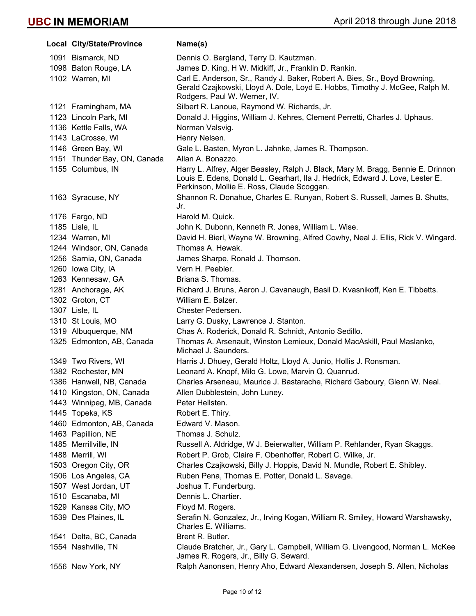|      | Local City/State/Province    | Name(s)                                                                                                                                                            |
|------|------------------------------|--------------------------------------------------------------------------------------------------------------------------------------------------------------------|
|      | 1091 Bismarck, ND            | Dennis O. Bergland, Terry D. Kautzman.                                                                                                                             |
|      | 1098 Baton Rouge, LA         | James D. King, H W. Midkiff, Jr., Franklin D. Rankin.                                                                                                              |
|      | 1102 Warren, MI              | Carl E. Anderson, Sr., Randy J. Baker, Robert A. Bies, Sr., Boyd Browning,                                                                                         |
|      |                              | Gerald Czajkowski, Lloyd A. Dole, Loyd E. Hobbs, Timothy J. McGee, Ralph M.                                                                                        |
|      |                              | Rodgers, Paul W. Werner, IV.                                                                                                                                       |
|      | 1121 Framingham, MA          | Silbert R. Lanoue, Raymond W. Richards, Jr.                                                                                                                        |
|      | 1123 Lincoln Park, MI        | Donald J. Higgins, William J. Kehres, Clement Perretti, Charles J. Uphaus.                                                                                         |
|      | 1136 Kettle Falls, WA        | Norman Valsvig.                                                                                                                                                    |
|      | 1143 LaCrosse, WI            | Henry Nelsen.                                                                                                                                                      |
|      | 1146 Green Bay, WI           | Gale L. Basten, Myron L. Jahnke, James R. Thompson.                                                                                                                |
|      | 1151 Thunder Bay, ON, Canada | Allan A. Bonazzo.                                                                                                                                                  |
|      | 1155 Columbus, IN            | Harry L. Alfrey, Alger Beasley, Ralph J. Black, Mary M. Bragg, Bennie E. Drinnon,<br>Louis E. Edens, Donald L. Gearhart, Ila J. Hedrick, Edward J. Love, Lester E. |
|      |                              | Perkinson, Mollie E. Ross, Claude Scoggan.                                                                                                                         |
|      | 1163 Syracuse, NY            | Shannon R. Donahue, Charles E. Runyan, Robert S. Russell, James B. Shutts,                                                                                         |
|      |                              | Jr.                                                                                                                                                                |
|      | 1176 Fargo, ND               | Harold M. Quick.                                                                                                                                                   |
|      | 1185 Lisle, IL               | John K. Dubonn, Kenneth R. Jones, William L. Wise.                                                                                                                 |
|      | 1234 Warren, MI              | David H. Bierl, Wayne W. Browning, Alfred Cowhy, Neal J. Ellis, Rick V. Wingard.                                                                                   |
|      | 1244 Windsor, ON, Canada     | Thomas A. Hewak.                                                                                                                                                   |
|      | 1256 Sarnia, ON, Canada      | James Sharpe, Ronald J. Thomson.                                                                                                                                   |
|      | 1260 Iowa City, IA           | Vern H. Peebler.                                                                                                                                                   |
|      | 1263 Kennesaw, GA            | Briana S. Thomas.                                                                                                                                                  |
|      | 1281 Anchorage, AK           | Richard J. Bruns, Aaron J. Cavanaugh, Basil D. Kvasnikoff, Ken E. Tibbetts.                                                                                        |
|      | 1302 Groton, CT              | William E. Balzer.                                                                                                                                                 |
|      | 1307 Lisle, IL               | Chester Pedersen.                                                                                                                                                  |
|      | 1310 St Louis, MO            | Larry G. Dusky, Lawrence J. Stanton.                                                                                                                               |
|      | 1319 Albuquerque, NM         | Chas A. Roderick, Donald R. Schnidt, Antonio Sedillo.                                                                                                              |
|      | 1325 Edmonton, AB, Canada    | Thomas A. Arsenault, Winston Lemieux, Donald MacAskill, Paul Maslanko,<br>Michael J. Saunders.                                                                     |
|      | 1349 Two Rivers, WI          | Harris J. Dhuey, Gerald Holtz, Lloyd A. Junio, Hollis J. Ronsman.                                                                                                  |
|      | 1382 Rochester, MN           | Leonard A. Knopf, Milo G. Lowe, Marvin Q. Quanrud.                                                                                                                 |
|      | 1386 Hanwell, NB, Canada     | Charles Arseneau, Maurice J. Bastarache, Richard Gaboury, Glenn W. Neal.                                                                                           |
|      | 1410 Kingston, ON, Canada    | Allen Dubblestein, John Luney.                                                                                                                                     |
|      | 1443 Winnipeg, MB, Canada    | Peter Hellsten.                                                                                                                                                    |
|      | 1445 Topeka, KS              | Robert E. Thiry.                                                                                                                                                   |
|      | 1460 Edmonton, AB, Canada    | Edward V. Mason.                                                                                                                                                   |
|      | 1463 Papillion, NE           | Thomas J. Schulz.                                                                                                                                                  |
|      | 1485 Merrillville, IN        | Russell A. Aldridge, W J. Beierwalter, William P. Rehlander, Ryan Skaggs.                                                                                          |
|      | 1488 Merrill, WI             | Robert P. Grob, Claire F. Obenhoffer, Robert C. Wilke, Jr.                                                                                                         |
|      | 1503 Oregon City, OR         | Charles Czajkowski, Billy J. Hoppis, David N. Mundle, Robert E. Shibley.                                                                                           |
|      | 1506 Los Angeles, CA         | Ruben Pena, Thomas E. Potter, Donald L. Savage.                                                                                                                    |
|      | 1507 West Jordan, UT         | Joshua T. Funderburg.                                                                                                                                              |
|      | 1510 Escanaba, MI            | Dennis L. Chartier.                                                                                                                                                |
|      | 1529 Kansas City, MO         | Floyd M. Rogers.                                                                                                                                                   |
|      | 1539 Des Plaines, IL         | Serafin N. Gonzalez, Jr., Irving Kogan, William R. Smiley, Howard Warshawsky,<br>Charles E. Williams.                                                              |
| 1541 | Delta, BC, Canada            | Brent R. Butler.                                                                                                                                                   |
|      | 1554 Nashville, TN           | Claude Bratcher, Jr., Gary L. Campbell, William G. Livengood, Norman L. McKee,<br>James R. Rogers, Jr., Billy G. Seward.                                           |
|      | 1556 New York, NY            | Ralph Aanonsen, Henry Aho, Edward Alexandersen, Joseph S. Allen, Nicholas                                                                                          |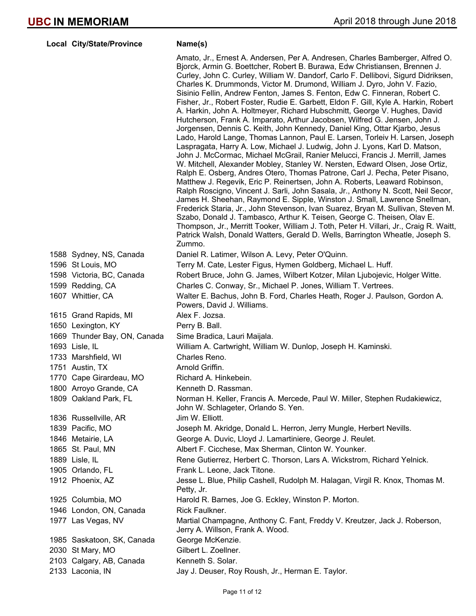| Local City/State/Province |                              | Name(s)                                                                                                                                                                                                                                                                                                                                                                                                                                                                                                                                                                                                                                                                                                                                                                                                                                                                                                                                                                                                                                                                                                                                                                                                                                                                                                                                                                                                                                                                                                                                                                                                                                                                                                                                                      |
|---------------------------|------------------------------|--------------------------------------------------------------------------------------------------------------------------------------------------------------------------------------------------------------------------------------------------------------------------------------------------------------------------------------------------------------------------------------------------------------------------------------------------------------------------------------------------------------------------------------------------------------------------------------------------------------------------------------------------------------------------------------------------------------------------------------------------------------------------------------------------------------------------------------------------------------------------------------------------------------------------------------------------------------------------------------------------------------------------------------------------------------------------------------------------------------------------------------------------------------------------------------------------------------------------------------------------------------------------------------------------------------------------------------------------------------------------------------------------------------------------------------------------------------------------------------------------------------------------------------------------------------------------------------------------------------------------------------------------------------------------------------------------------------------------------------------------------------|
|                           |                              | Amato, Jr., Ernest A. Andersen, Per A. Andresen, Charles Bamberger, Alfred O.<br>Bjorck, Armin G. Boettcher, Robert B. Burawa, Edw Christiansen, Brennen J.<br>Curley, John C. Curley, William W. Dandorf, Carlo F. Dellibovi, Sigurd Didriksen,<br>Charles K. Drummonds, Victor M. Drumond, William J. Dyro, John V. Fazio,<br>Sisinio Fellin, Andrew Fenton, James S. Fenton, Edw C. Finneran, Robert C.<br>Fisher, Jr., Robert Foster, Rudie E. Garbett, Eldon F. Gill, Kyle A. Harkin, Robert<br>A. Harkin, John A. Holtmeyer, Richard Hubschmitt, George V. Hughes, David<br>Hutcherson, Frank A. Imparato, Arthur Jacobsen, Wilfred G. Jensen, John J.<br>Jorgensen, Dennis C. Keith, John Kennedy, Daniel King, Ottar Kjarbo, Jesus<br>Lado, Harold Lange, Thomas Lannon, Paul E. Larsen, Torleiv H. Larsen, Joseph<br>Laspragata, Harry A. Low, Michael J. Ludwig, John J. Lyons, Karl D. Matson,<br>John J. McCormac, Michael McGrail, Ranier Melucci, Francis J. Merrill, James<br>W. Mitchell, Alexander Mobley, Stanley W. Nersten, Edward Olsen, Jose Ortiz,<br>Ralph E. Osberg, Andres Otero, Thomas Patrone, Carl J. Pecha, Peter Pisano,<br>Matthew J. Regevik, Eric P. Reinertsen, John A. Roberts, Leaward Robinson,<br>Ralph Roscigno, Vincent J. Sarli, John Sasala, Jr., Anthony N. Scott, Neil Secor,<br>James H. Sheehan, Raymond E. Sipple, Winston J. Small, Lawrence Snellman,<br>Frederick Staria, Jr., John Stevenson, Ivan Suarez, Bryan M. Sullivan, Steven M.<br>Szabo, Donald J. Tambasco, Arthur K. Teisen, George C. Theisen, Olav E.<br>Thompson, Jr., Merritt Tooker, William J. Toth, Peter H. Villari, Jr., Craig R. Waitt,<br>Patrick Walsh, Donald Watters, Gerald D. Wells, Barrington Wheatle, Joseph S.<br>Zummo. |
|                           | 1588 Sydney, NS, Canada      | Daniel R. Latimer, Wilson A. Levy, Peter O'Quinn.                                                                                                                                                                                                                                                                                                                                                                                                                                                                                                                                                                                                                                                                                                                                                                                                                                                                                                                                                                                                                                                                                                                                                                                                                                                                                                                                                                                                                                                                                                                                                                                                                                                                                                            |
| 1596 St Louis, MO         |                              | Terry M. Cate, Lester Figus, Hymen Goldberg, Michael L. Huff.                                                                                                                                                                                                                                                                                                                                                                                                                                                                                                                                                                                                                                                                                                                                                                                                                                                                                                                                                                                                                                                                                                                                                                                                                                                                                                                                                                                                                                                                                                                                                                                                                                                                                                |
| 1599 Redding, CA          | 1598 Victoria, BC, Canada    | Robert Bruce, John G. James, Wilbert Kotzer, Milan Ljubojevic, Holger Witte.<br>Charles C. Conway, Sr., Michael P. Jones, William T. Vertrees.                                                                                                                                                                                                                                                                                                                                                                                                                                                                                                                                                                                                                                                                                                                                                                                                                                                                                                                                                                                                                                                                                                                                                                                                                                                                                                                                                                                                                                                                                                                                                                                                               |
| 1607 Whittier, CA         |                              | Walter E. Bachus, John B. Ford, Charles Heath, Roger J. Paulson, Gordon A.                                                                                                                                                                                                                                                                                                                                                                                                                                                                                                                                                                                                                                                                                                                                                                                                                                                                                                                                                                                                                                                                                                                                                                                                                                                                                                                                                                                                                                                                                                                                                                                                                                                                                   |
|                           |                              | Powers, David J. Williams.                                                                                                                                                                                                                                                                                                                                                                                                                                                                                                                                                                                                                                                                                                                                                                                                                                                                                                                                                                                                                                                                                                                                                                                                                                                                                                                                                                                                                                                                                                                                                                                                                                                                                                                                   |
| 1615 Grand Rapids, MI     |                              | Alex F. Jozsa.                                                                                                                                                                                                                                                                                                                                                                                                                                                                                                                                                                                                                                                                                                                                                                                                                                                                                                                                                                                                                                                                                                                                                                                                                                                                                                                                                                                                                                                                                                                                                                                                                                                                                                                                               |
| 1650 Lexington, KY        | 1669 Thunder Bay, ON, Canada | Perry B. Ball.                                                                                                                                                                                                                                                                                                                                                                                                                                                                                                                                                                                                                                                                                                                                                                                                                                                                                                                                                                                                                                                                                                                                                                                                                                                                                                                                                                                                                                                                                                                                                                                                                                                                                                                                               |
| 1693 Lisle, IL            |                              | Sime Bradica, Lauri Maijala.<br>William A. Cartwright, William W. Dunlop, Joseph H. Kaminski.                                                                                                                                                                                                                                                                                                                                                                                                                                                                                                                                                                                                                                                                                                                                                                                                                                                                                                                                                                                                                                                                                                                                                                                                                                                                                                                                                                                                                                                                                                                                                                                                                                                                |
| 1733 Marshfield, WI       |                              | Charles Reno.                                                                                                                                                                                                                                                                                                                                                                                                                                                                                                                                                                                                                                                                                                                                                                                                                                                                                                                                                                                                                                                                                                                                                                                                                                                                                                                                                                                                                                                                                                                                                                                                                                                                                                                                                |
| 1751 Austin, TX           |                              | Arnold Griffin.                                                                                                                                                                                                                                                                                                                                                                                                                                                                                                                                                                                                                                                                                                                                                                                                                                                                                                                                                                                                                                                                                                                                                                                                                                                                                                                                                                                                                                                                                                                                                                                                                                                                                                                                              |
|                           | 1770 Cape Girardeau, MO      | Richard A. Hinkebein.                                                                                                                                                                                                                                                                                                                                                                                                                                                                                                                                                                                                                                                                                                                                                                                                                                                                                                                                                                                                                                                                                                                                                                                                                                                                                                                                                                                                                                                                                                                                                                                                                                                                                                                                        |
| 1800 Arroyo Grande, CA    |                              | Kenneth D. Rassman.                                                                                                                                                                                                                                                                                                                                                                                                                                                                                                                                                                                                                                                                                                                                                                                                                                                                                                                                                                                                                                                                                                                                                                                                                                                                                                                                                                                                                                                                                                                                                                                                                                                                                                                                          |
| 1809 Oakland Park, FL     |                              | Norman H. Keller, Francis A. Mercede, Paul W. Miller, Stephen Rudakiewicz,<br>John W. Schlageter, Orlando S. Yen.                                                                                                                                                                                                                                                                                                                                                                                                                                                                                                                                                                                                                                                                                                                                                                                                                                                                                                                                                                                                                                                                                                                                                                                                                                                                                                                                                                                                                                                                                                                                                                                                                                            |
| 1836 Russellville, AR     |                              | Jim W. Elliott.                                                                                                                                                                                                                                                                                                                                                                                                                                                                                                                                                                                                                                                                                                                                                                                                                                                                                                                                                                                                                                                                                                                                                                                                                                                                                                                                                                                                                                                                                                                                                                                                                                                                                                                                              |
| 1839 Pacific, MO          |                              | Joseph M. Akridge, Donald L. Herron, Jerry Mungle, Herbert Nevills.                                                                                                                                                                                                                                                                                                                                                                                                                                                                                                                                                                                                                                                                                                                                                                                                                                                                                                                                                                                                                                                                                                                                                                                                                                                                                                                                                                                                                                                                                                                                                                                                                                                                                          |
| 1846 Metairie, LA         |                              | George A. Duvic, Lloyd J. Lamartiniere, George J. Reulet.                                                                                                                                                                                                                                                                                                                                                                                                                                                                                                                                                                                                                                                                                                                                                                                                                                                                                                                                                                                                                                                                                                                                                                                                                                                                                                                                                                                                                                                                                                                                                                                                                                                                                                    |
| 1865 St. Paul, MN         |                              | Albert F. Cicchese, Max Sherman, Clinton W. Younker.                                                                                                                                                                                                                                                                                                                                                                                                                                                                                                                                                                                                                                                                                                                                                                                                                                                                                                                                                                                                                                                                                                                                                                                                                                                                                                                                                                                                                                                                                                                                                                                                                                                                                                         |
| 1889 Lisle, IL            |                              | Rene Gutierrez, Herbert C. Thorson, Lars A. Wickstrom, Richard Yelnick.                                                                                                                                                                                                                                                                                                                                                                                                                                                                                                                                                                                                                                                                                                                                                                                                                                                                                                                                                                                                                                                                                                                                                                                                                                                                                                                                                                                                                                                                                                                                                                                                                                                                                      |
| 1905 Orlando, FL          |                              | Frank L. Leone, Jack Titone.                                                                                                                                                                                                                                                                                                                                                                                                                                                                                                                                                                                                                                                                                                                                                                                                                                                                                                                                                                                                                                                                                                                                                                                                                                                                                                                                                                                                                                                                                                                                                                                                                                                                                                                                 |
| 1912 Phoenix, AZ          |                              | Jesse L. Blue, Philip Cashell, Rudolph M. Halagan, Virgil R. Knox, Thomas M.<br>Petty, Jr.                                                                                                                                                                                                                                                                                                                                                                                                                                                                                                                                                                                                                                                                                                                                                                                                                                                                                                                                                                                                                                                                                                                                                                                                                                                                                                                                                                                                                                                                                                                                                                                                                                                                   |
| 1925 Columbia, MO         |                              | Harold R. Barnes, Joe G. Eckley, Winston P. Morton.                                                                                                                                                                                                                                                                                                                                                                                                                                                                                                                                                                                                                                                                                                                                                                                                                                                                                                                                                                                                                                                                                                                                                                                                                                                                                                                                                                                                                                                                                                                                                                                                                                                                                                          |
|                           | 1946 London, ON, Canada      | Rick Faulkner.                                                                                                                                                                                                                                                                                                                                                                                                                                                                                                                                                                                                                                                                                                                                                                                                                                                                                                                                                                                                                                                                                                                                                                                                                                                                                                                                                                                                                                                                                                                                                                                                                                                                                                                                               |
| 1977 Las Vegas, NV        |                              | Martial Champagne, Anthony C. Fant, Freddy V. Kreutzer, Jack J. Roberson,<br>Jerry A. Willson, Frank A. Wood.                                                                                                                                                                                                                                                                                                                                                                                                                                                                                                                                                                                                                                                                                                                                                                                                                                                                                                                                                                                                                                                                                                                                                                                                                                                                                                                                                                                                                                                                                                                                                                                                                                                |
|                           | 1985 Saskatoon, SK, Canada   | George McKenzie.                                                                                                                                                                                                                                                                                                                                                                                                                                                                                                                                                                                                                                                                                                                                                                                                                                                                                                                                                                                                                                                                                                                                                                                                                                                                                                                                                                                                                                                                                                                                                                                                                                                                                                                                             |
| 2030 St Mary, MO          |                              | Gilbert L. Zoellner.                                                                                                                                                                                                                                                                                                                                                                                                                                                                                                                                                                                                                                                                                                                                                                                                                                                                                                                                                                                                                                                                                                                                                                                                                                                                                                                                                                                                                                                                                                                                                                                                                                                                                                                                         |
|                           | 2103 Calgary, AB, Canada     | Kenneth S. Solar.                                                                                                                                                                                                                                                                                                                                                                                                                                                                                                                                                                                                                                                                                                                                                                                                                                                                                                                                                                                                                                                                                                                                                                                                                                                                                                                                                                                                                                                                                                                                                                                                                                                                                                                                            |
| 2133 Laconia, IN          |                              | Jay J. Deuser, Roy Roush, Jr., Herman E. Taylor.                                                                                                                                                                                                                                                                                                                                                                                                                                                                                                                                                                                                                                                                                                                                                                                                                                                                                                                                                                                                                                                                                                                                                                                                                                                                                                                                                                                                                                                                                                                                                                                                                                                                                                             |